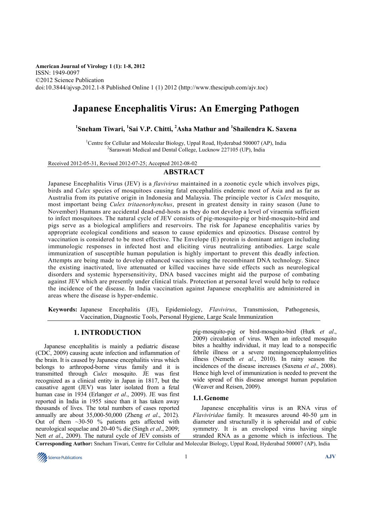**American Journal of Virology 1 (1): 1-8, 2012** ISSN: 1949-0097 ©2012 Science Publication doi:10.3844/ajvsp.2012.1-8 Published Online 1 (1) 2012 (http://www.thescipub.com/ajv.toc)

# **Japanese Encephalitis Virus: An Emerging Pathogen**

# **1 Sneham Tiwari, <sup>1</sup> Sai V.P. Chitti, <sup>2</sup>Asha Mathur and <sup>1</sup> Shailendra K. Saxena**

<sup>1</sup>Centre for Cellular and Molecular Biology, Uppal Road, Hyderabad 500007 (AP), India 2 Saraswati Medical and Dental College, Lucknow 227105 (UP), India

Received 2012-05-31, Revised 2012-07-25; Accepted 2012-08-02

#### **ABSTRACT**

Japanese Encephalitis Virus (JEV) is a *flavivirus* maintained in a zoonotic cycle which involves pigs, birds and *Culex* species of mosquitoes causing fatal encephalitis endemic most of Asia and as far as Australia from its putative origin in Indonesia and Malaysia. The principle vector is *Culex* mosquito, most important being *Culex tritaenorhynchus*, present in greatest density in rainy season (June to November) Humans are accidental dead-end-hosts as they do not develop a level of viraemia sufficient to infect mosquitoes. The natural cycle of JEV consists of pig-mosquito-pig or bird-mosquito-bird and pigs serve as a biological amplifiers and reservoirs. The risk for Japanese encephalitis varies by appropriate ecological conditions and season to cause epidemics and epizootics. Disease control by vaccination is considered to be most effective. The Envelope (E) protein is dominant antigen including immunologic responses in infected host and eliciting virus neutralizing antibodies. Large scale immunization of susceptible human population is highly important to prevent this deadly infection. Attempts are being made to develop enhanced vaccines using the recombinant DNA technology. Since the existing inactivated, live attenuated or killed vaccines have side effects such as neurological disorders and systemic hypersensitivity, DNA based vaccines might aid the purpose of combating against JEV which are presently under clinical trials. Protection at personal level would help to reduce the incidence of the disease. In India vaccination against Japanese encephalitis are administered in areas where the disease is hyper-endemic.

**Keywords:** Japanese Encephalitis (JE), Epidemiology, *Flavivirus*, Transmission, Pathogenesis, Vaccination, Diagnostic Tools, Personal Hygiene, Large Scale Immunization

## **1. INTRODUCTION**

Japanese encephalitis is mainly a pediatric disease (CDC, 2009) causing acute infection and inflammation of the brain. It is caused by Japanese encephalitis virus which belongs to arthropod-borne virus family and it is transmitted through *Culex* mosquito. JE was first recognized as a clinical entity in Japan in 1817, but the causative agent (JEV) was later isolated from a fetal human case in 1934 (Erlanger *et al*., 2009). JE was first reported in India in 1955 since than it has taken away thousands of lives. The total numbers of cases reported annually are about 35,000-50,000 (Zheng *et al*., 2012)*.* Out of them  $\sim$ 30-50 % patients gets affected with neurological sequelae and 20-40 % die (Singh *et al*., 2009; Nett *et al*., 2009). The natural cycle of JEV consists of

pig-mosquito-pig or bird-mosquito-bird (Hurk *et al*., 2009) circulation of virus. When an infected mosquito bites a healthy individual, it may lead to a nonspecific febrile illness or a severe meningoencephalomyelities illness (Nemeth *et al*., 2010). In rainy season the incidences of the disease increases (Saxena *et al*., 2008). Hence high level of immunization is needed to prevent the wide spread of this disease amongst human population (Weaver and Reisen, 2009).

#### **1.1.Genome**

Japanese encephalitis virus is an RNA virus of *Flaviviridae* family*.* It measures around 40-50 µm in diameter and structurally it is spheroidal and of cubic symmetry. It is an enveloped virus having single stranded RNA as a genome which is infectious. The

**Corresponding Author:** Sneham Tiwari, Centre for Cellular and Molecular Biology, Uppal Road, Hyderabad 500007 (AP), India

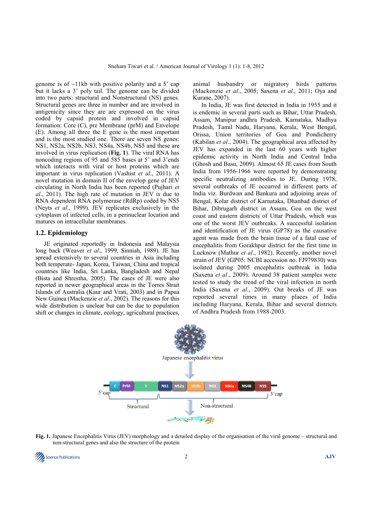genome is of  $\sim$ 11kb with positive polarity and a 5' cap but it lacks a 3' poly tail. The genome can be divided into two parts: structural and Nonstructural (NS) genes. Structural genes are three in number and are involved in antigenicity since they are are expressed on the virus coded by capsid protein and involved in capsid formation: Core (C), pre Membrane (prM) and Envelope (E). Among all three the E gene is the most important and is the most studied one. There are seven NS genes: NS1, NS2a, NS2b, NS3, NS4a, NS4b, NS5 and these are involved in virus replication (**Fig. 1**). The viral RNA has noncoding regions of 95 and 585 bases at 5' and 3'ends which interacts with viral or host proteins which are important in virus replication (Vashist *et al*., 2011). A novel mutation in domain II of the envelop gene of JEV circulating in North India has been reported (Pujhari *et al*., 2011). The high rate of mutation in JEV is due to RNA dependent RNA polymerase (RdRp) coded by NS5 (Neyts *et al*., 1999). JEV replicates exclusively in the cytoplasm of infected cells, in a perinuclear location and matures on intracellular membranes.

#### **1.2. Epidemiology**

JE originated reportedly in Indonesia and Malaysia long back (Weaver *et al*., 1999; Sinniah, 1989). JE has spread extensively to several countries in Asia including both temperate- Japan, Korea, Taiwan, China and tropical countries like India, Sri Lanka, Bangladesh and Nepal (Bista and Shrestha, 2005). The cases of JE were also reported in newer geographical areas in the Torres Strait Islands of Australia (Kaur and Vrati, 2003) and in Papua New Guinea (Mackenzie *et al*., 2002). The reasons for this wide distribution is unclear but can be due to population shift or changes in climate, ecology, agricultural practices, animal husbandry or migratory birds patterns (Mackenzie *et al*., 2005; Saxena *et al*., 2011; Oya and Kurane, 2007).

In India, JE was first detected in India in 1955 and it is endemic in several parts such as Bihar, Uttar Pradesh, Assam, Manipur andhra Pradesh, Karnataka, Madhya Pradesh, Tamil Nadu, Haryana, Kerala, West Bengal, Orissa, Union territories of Goa and Pondicherry (Kabilan *et al*., 2004). The geographical area affected by JEV has expanded in the last 60 years with higher epidemic activity in North India and Central India (Ghosh and Basu, 2009). Almost 65 JE cases from South India from 1956-1966 were reported by demonstrating specific neutralizing antibodies to JE. During 1978, several outbreaks of JE occurred in different parts of India viz. Burdwan and Bankura and adjoining areas of Bengal, Kolar district of Karnataka, Dhanbad district of Bihar, Dibrugarh district in Assam, Goa on the west coast and eastern districts of Uttar Pradesh, which was one of the worst JEV outbreaks. A successful isolation and identification of JE virus (GP78) as the causative agent was made from the brain tissue of a fatal case of encephalitis from Gorakhpur district for the first time in Lucknow (Mathur *et al*., 1982). Recently, another novel strain of JEV (GP05: NCBI accession no. FJ979830) was isolated during 2005 encephalitis outbreak in India (Saxena *et al*., 2009). Around 38 patient samples were tested to study the trend of the viral infection in north India (Saxena *et al*., 2009). Out breaks of JE was reported several times in many places of India including Haryana, Kerala, Bihar and several districts of Andhra Pradesh from 1988-2003.



**Fig. 1.** Japanese Encephalitis Virus (JEV) morphology and a detailed display of the organisation of the viral genome – structural and non-structural genes and also the structure of the protein

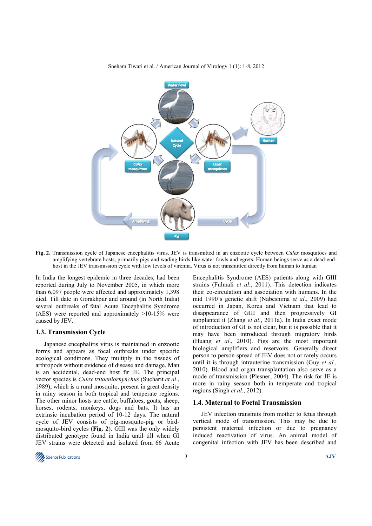Sneham Tiwari et al. / American Journal of Virology 1 (1): 1-8, 2012

**Fig. 2.** Transmission cycle of Japanese encephalitis virus. JEV is transmitted in an enzootic cycle between *Culex* mosquitoes and amplifying vertebrate hosts, primarily pigs and wading birds like water fowls and egrets. Human beings serve as a dead-endhost in the JEV transmission cycle with low levels of viremia. Virus is not transmitted directly from human to human

In India the longest epidemic in three decades, had been reported during July to November 2005, in which more than 6,097 people were affected and approximately 1,398 died. Till date in Gorakhpur and around (in North India) several outbreaks of fatal Acute Encephalitis Syndrome (AES) were reported and approximately  $>10-15\%$  were caused by JEV.

#### **1.3. Transmission Cycle**

Japanese encephalitis virus is maintained in enzootic forms and appears as focal outbreaks under specific ecological conditions. They multiply in the tissues of arthropods without evidence of disease and damage. Man is an accidental, dead-end host fir JE*.* The principal vector species is *Culex tritaeniorhynchus* (Sucharit *et al*., 1989), which is a rural mosquito, present in great density in rainy season in both tropical and temperate regions. The other minor hosts are cattle, buffaloes, goats, sheep, horses, rodents, monkeys, dogs and bats. It has an extrinsic incubation period of 10-12 days. The natural cycle of JEV consists of pig-mosquito-pig or birdmosquito-bird cycles (**Fig. 2**). GIII was the only widely distributed genotype found in India until till when GI JEV strains were detected and isolated from 66 Acute Encephalitis Syndrome (AES) patients along with GIII strains (Fulmali *et al*., 2011). This detection indicates their co-circulation and association with humans. In the mid 1990's genetic shift (Nabeshima *et al*., 2009) had occurred in Japan, Korea and Vietnam that lead to disappearance of GIII and then progressively GI supplanted it (Zhang *et al*., 2011a). In India exact mode of introduction of GI is not clear, but it is possible that it may have been introduced through migratory birds (Huang *et al*., 2010). Pigs are the most important biological amplifiers and reservoirs. Generally direct person to person spread of JEV does not or rarely occurs until it is through intrauterine transmission (Guy *et al*., 2010). Blood and organ transplantation also serve as a mode of transmission (Plesner, 2004). The risk for JE is more in rainy season both in temperate and tropical regions (Singh *et al*., 2012).

#### **1.4. Maternal to Foetal Transmission**

JEV infection transmits from mother to fetus through vertical mode of transmission. This may be due to persistent maternal infection or due to pregnancy induced reactivation of virus. An animal model of congenital infection with JEV has been described and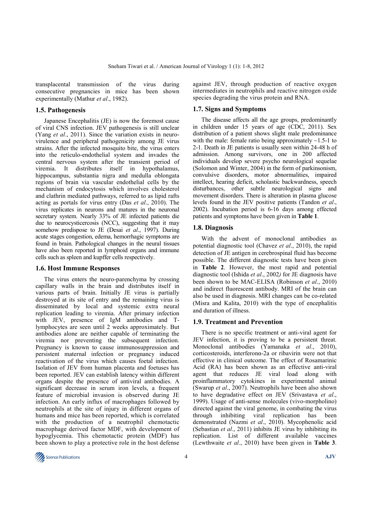transplacental transmission of the virus during consecutive pregnancies in mice has been shown experimentally (Mathur *et al*., 1982).

#### **1.5. Pathogenesis**

Japanese Encephalitis (JE) is now the foremost cause of viral CNS infection. JEV pathogenesis is still unclear (Yang *et al*., 2011). Since the variation exists in neurovirulence and peripheral pathogenicity among JE virus strains. After the infected mosquito bite, the virus enters into the reticulo-endothelial system and invades the central nervous system after the transient period of viremia. It distributes itself in hypothalamus, hippocampus, substantia nigra and medulla oblongata regions of brain via vascular endothelial cells by the mechanism of endocytosis which involves cholesterol and clathrin mediated pathways, referred to as lipid rafts acting as portals for virus entry (Das *et al*., 2010). The virus replicates in neurons and matures in the neuronal secretary system. Nearly 33% of JE infected patients die due to neurocysticercosis (NCC), suggesting that it may somehow predispose to JE (Desai *et al*., 1997). During acute stages congestion, edema, hemorrhagic symptoms are found in brain. Pathological changes in the neural tissues have also been reported in lymphoid organs and immune cells such as spleen and kupffer cells respectively.

#### **1.6. Host Immune Responses**

The virus enters the neuro-parenchyma by crossing capillary walls in the brain and distributes itself in various parts of brain. Initially JE virus is partially destroyed at its site of entry and the remaining virus is disseminated by local and systemic extra neural replication leading to viremia. After primary infection with JEV, presence of IgM antibodies and Tlymphocytes are seen until 2 weeks approximately. But antibodies alone are neither capable of terminating the viremia nor preventing the subsequent infection. Pregnancy is known to cause immunosuppression and persistent maternal infection or pregnancy induced reactivation of the virus which causes foetal infection. Isolation of JEV from human placenta and foetuses has been reported. JEV can establish latency within different organs despite the presence of antiviral antibodies. A significant decrease in serum iron levels, a frequent feature of microbial invasion is observed during JE infection. An early influx of macrophages followed by neutrophils at the site of injury in different organs of humans and mice has been reported, which is correlated with the production of a neutrophil chemotactic macrophage derived factor MDF, with development of hypoglycemia. This chemotactic protein (MDF) has been shown to play a protective role in the host defense

against JEV, through production of reactive oxygen intermediates in neutrophils and reactive nitrogen oxide species degrading the virus protein and RNA.

#### **1.7. Signs and Symptoms**

The disease affects all the age groups, predominantly in children under 15 years of age (CDC, 2011). Sex distribution of a patient shows slight male predominance with the male: female ratio being approximately  $\sim$ 1.5-1 to 2-1. Death in JE patients is usually seen within 24-48 h of admission. Among survivors, one in 200 affected individuals develop severe psycho neurological sequelae (Solomon and Winter, 2004) in the form of parkinsonism, convulsive disorders, motor abnormalities, impaired intellect, hearing deficit, scholastic backwardness, speech disturbances, other subtle neurological signs and movement disorders. There is alteration in plasma glucose levels found in the JEV positive patients (Tandon *et al*., 2002). Incubation period is 6-16 days among effected patients and symptoms have been given in **Table 1**.

### **1.8. Diagnosis**

With the advent of monoclonal antibodies as potential diagnostic tool (Chavez *et al*., 2010), the rapid detection of JE antigen in cerebrospinal fluid has become possible. The different diagnostic tests have been given in **Table 2**. However, the most rapid and potential diagnostic tool (Ishida *et al*., 2002*)* for JE diagnosis have been shown to be MAC-ELISA (Robinson *et al*., 2010) and indirect fluorescent antibody. MRI of the brain can also be used in diagnosis. MRI changes can be co-related (Misra and Kalita, 2010) with the type of encephalitis and duration of illness.

#### **1.9. Treatment and Prevention**

There is no specific treatment or anti-viral agent for JEV infection, it is proving to be a persistent threat. Monoclonal antibodies (Yamanaka *et al*., 2010), corticosteroids, interferonα-2a or ribavirin were not that effective in clinical outcome. The effect of Rosamarinic Acid (RA) has been shown as an effective anti-viral agent that reduces JE viral load along with proinflammatory cytokines in experimental animal (Swarup *et al*., 2007). Neutrophils have been also shown to have degradative effect on JEV (Srivastava *et al*., 1999). Usage of anti-sense molecules (vivo-morpholino) directed against the viral genome, in combating the virus through inhibiting viral replication has been demonstrated (Nazmi *et al*., 2010). Mycophenolic acid (Sebastian *et al*., 2011) inhibits JE virus by inhibiting its replication. List of different available vaccines (Lewthwaite *et al*., 2010) have been given in **Table 3**.

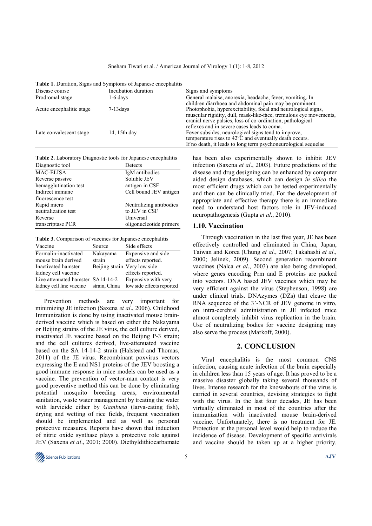#### Sneham Tiwari et al. / American Journal of Virology 1 (1): 1-8, 2012

**Table 1.** Duration, Signs and Symptoms of Japanese encephalitis

| Disease course           | Incubation duration | Signs and symptoms                                                                                                                                                                                                                              |
|--------------------------|---------------------|-------------------------------------------------------------------------------------------------------------------------------------------------------------------------------------------------------------------------------------------------|
| Prodromal stage          | 1-6 days            | General malaise, anorexia, headache, fever, vomiting. In<br>children diarrhoea and abdominal pain may be prominent.                                                                                                                             |
| Acute encephalitic stage | $7-13$ days         | Photophobia, hyperexcitability, focal and neurological signs,<br>muscular rigidity, dull, mask-like-face, tremulous eye movements,<br>cranial nerve palsies, loss of co-ordination, pathological<br>reflexes and in severe cases leads to coma. |
| Late convalescent stage  | 14, 15th day        | Fever subsides, neurological signs tend to improve,<br>temperature rises to 42°C and eventually death occurs.<br>If no death, it leads to long term psychoneurological sequelae                                                                 |

**Table 2.** Laboratory Diagnostic tools for Japanese encephalitis

| Diagnostic tool       | Detects                 |
|-----------------------|-------------------------|
| <b>MAC-ELISA</b>      | IgM antibodies          |
| Reverse passive       | Soluble JEV             |
| hemagglutination test | antigen in CSF          |
| Indirect immune       | Cell bound JEV antigen  |
| fluorescence test     |                         |
| Rapid micro           | Neutralizing antibodies |
| neutralization test   | to JEV in CSF           |
| Reverse               | Universal               |
| transcriptase PCR     | oligonucleotide primers |

**Table 3.** Comparison of vaccines for Japanese encephalitis

| Vaccine                           | Source        | Side effects                 |
|-----------------------------------|---------------|------------------------------|
| Formalin-inactivated              | Nakayama      | Expensive and side           |
| mouse brain derived               | strain        | effects reported.            |
| Inactivated hamster               |               | Beijing strain Very low side |
| kidney cell vaccine               |               | effects reported.            |
| Live attenuated hamster SA14-14-2 |               | Expensive with very          |
| kidney cell line vaccine          | strain, China | low side effects reported    |
|                                   |               |                              |

Prevention methods are very important for minimizing JE infection (Saxena *et al*., 2006). Childhood Immunization is done by using inactivated mouse brainderived vaccine which is based on either the Nakayama or Beijing strains of the JE virus, the cell culture derived, inactivated JE vaccine based on the Beijing P-3 strain; and the cell cultures derived, live-attenuated vaccine based on the SA 14-14-2 strain (Halstead and Thomas, 2011) of the JE virus. Recombinant poxvirus vectors expressing the E and NS1 proteins of the JEV boosting a good immune response in mice models can be used as a vaccine. The prevention of vector-man contact is very good preventive method this can be done by eliminating potential mosquito breeding areas, environmental sanitation, waste water management by treating the water with larvicide either by *Gambusa* (larva-eating fish), drying and wetting of rice fields, frequent vaccination should be implemented and as well as personal protective measures. Reports have shown that induction of nitric oxide synthase plays a protective role against JEV (Saxena *et al*., 2001; 2000). Diethyldithiocarbamate



has been also experimentally shown to inhibit JEV infection (Saxena *et al*., 2003). Future predictions of the disease and drug designing can be enhanced by computer aided design databases, which can design *in silico* the most efficient drugs which can be tested experimentally and then can be clinically tried. For the development of appropriate and effective therapy there is an immediate need to understand host factors role in JEV-induced neuropathogenesis (Gupta *et al*., 2010).

#### **1.10. Vaccination**

Through vaccination in the last five year, JE has been effectively controlled and eliminated in China, Japan, Taiwan and Korea (Chung *et al*., 2007; Takahashi *et al*., 2000; Jelinek, 2009). Second generation recombinant vaccines (Nalca *et al*., 2003) are also being developed, where genes encoding Prm and E proteins are packed into vectors. DNA based JEV vaccines which may be very efficient against the virus (Stephenson, 1998) are under clinical trials. DNAzymes (DZs) that cleave the RNA sequence of the 3'-NCR of JEV genome in vitro, on intra-cerebral administration in JE infected mice almost completely inhibit virus replication in the brain. Use of neutralizing bodies for vaccine designing may also serve the process (Markoff, 2000).

## **2. CONCLUSION**

Viral encephalitis is the most common CNS infection, causing acute infection of the brain especially in children less than 15 years of age. It has proved to be a massive disaster globally taking several thousands of lives. Intense research for the knowabouts of the virus is carried in several countries, devising strategies to fight with the virus. In the last four decades, JE has been virtually eliminated in most of the countries after the immunization with inactivated mouse brain-derived vaccine. Unfortunately, there is no treatment for JE. Protection at the personal level would help to reduce the incidence of disease. Development of specific antivirals and vaccine should be taken up at a higher priority.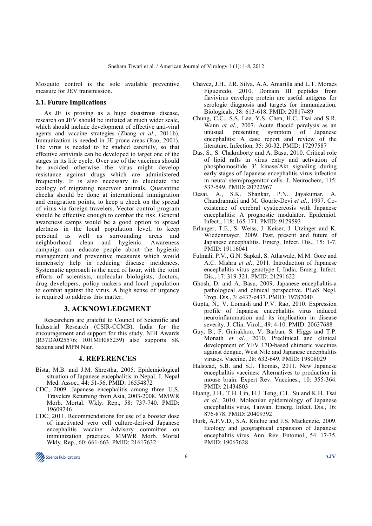Mosquito control is the sole available preventive measure for JEV transmission.

## **2.1. Future Implications**

As JE is proving as a huge disastrous disease, research on JEV should be initiated at much wider scale, which should include development of effective anti-viral agents and vaccine strategies (Zhang *et al*., 2011b). Immunization is needed in JE prone areas (Rao, 2001). The virus is needed to be studied carefully, so that effective antivirals can be developed to target one of the stages in its life cycle. Over use of the vaccines should be avoided otherwise the virus might develop resistance against drugs which are administered frequently. It is also necessary to elucidate the ecology of migrating reservoir animals. Quarantine checks should be done at international immigration and emigration points, to keep a check on the spread of virus via foreign travelers. Vector control program should be effective enough to combat the risk. General awareness camps would be a good option to spread alertness in the local population level, to keep personal as well as surrounding areas and neighborhood clean and hygienic. Awareness campaign can educate people about the hygienic management and preventive measures which would immensely help in reducing disease incidences. Systematic approach is the need of hour, with the joint efforts of scientists, molecular biologists, doctors, drug developers, policy makers and local population to combat against the virus. A high sense of urgency is required to address this matter.

#### **3. ACKNOWLEDGMENT**

Researchers are grateful to Council of Scientific and Industrial Research (CSIR-CCMB), India for the encouragement and support for this study. NIH Awards (R37DA025576; R01MH085259) also supports SK Saxena and MPN Nair.

#### **4. REFERENCES**

- Bista, M.B. and J.M. Shrestha, 2005. Epidemiological situation of Japanese encephalitis in Nepal. J. Nepal Med. Assoc., 44: 51-56. PMID: 16554872
- CDC, 2009. Japanese encephalitis among three U.S. Travelers Returning from Asia, 2003-2008. MMWR Morb. Mortal. Wkly. Rep., 58: 737-740. PMID: 19609246
- CDC, 2011. Recommendations for use of a booster dose of inactivated vero cell culture-derived Japanese encephalitis vaccine: Advisory committee on immunization practices. MMWR Morb. Mortal Wkly. Rep., 60: 661-663. PMID: 21617632
- Chavez, J.H., J.R. Silva, A.A. Amarilla and L.T. Moraes Figueiredo, 2010. Domain III peptides from flavivirus envelope protein are useful antigens for serologic diagnosis and targets for immunization. Biologicals, 38: 613-618. PMID: 20817489
- Chung, C.C., S.S. Lee, Y.S. Chen, H.C. Tsai and S.R. Wann *et al*., 2007. Acute flaccid paralysis as an unusual presenting symptom of Japanese encephalitis: A case report and review of the literature. Infection, 35: 30-32. PMID: 17297587
- Das, S., S. Chakraborty and A. Basu, 2010. Critical role of lipid rafts in virus entry and activation of phosphoinositide 3' kinase/Akt signaling during early stages of Japanese encephalitis virus infection in neural stem/progenitor cells. J. Neurochem, 115: 537-549. PMID: 20722967
- Desai, A., S.K. Shankar, P.N. Jayakumar, A. Chandramuki and M. Gourie-Devi *et al*., 1997. Coexistence of cerebral cysticercosis with Japanese encephalitis: A prognostic modulator. Epidemiol. Infect., 118: 165-171. PMID: 9129593
- Erlanger, T.E., S. Weiss, J. Keiser, J. Utzinger and K. Wiedenmayer, 2009. Past, present and future of Japanese encephalitis. Emerg. Infect. Dis., 15: 1-7. PMID: 19116041
- Fulmali, P.V., G.N. Sapkal, S. Athawale, M.M. Gore and A.C. Mishra *et al*., 2011. Introduction of Japanese encephalitis virus genotype I, India. Emerg. Infect. Dis., 17: 319-321. PMID: 21291622
- Ghosh, D. and A. Basu, 2009. Japanese encephalitis-a pathological and clinical perspective. PLoS Negl. Trop. Dis., 3: e437-e437. PMID: 19787040
- Gupta, N., V. Lomash and P.V. Rao, 2010. Expression profile of Japanese encephalitis virus induced neuroinflammation and its implication in disease severity. J. Clin. Virol., 49: 4-10. PMID: 20637688
- Guy, B., F. Guirakhoo, V. Barban, S. Higgs and T.P. Monath *et al*., 2010. Preclinical and clinical development of YFV 17D-based chimeric vaccines against dengue, West Nile and Japanese encephalitis viruses. Vaccine, 28: 632-649. PMID: 19808029
- Halstead, S.B. and S.J. Thomas, 2011. New Japanese encephalitis vaccines: Alternatives to production in mouse brain. Expert Rev. Vaccines., 10: 355-364. PMID: 21434803
- Huang, J.H., T.H. Lin, H.J. Teng, C.L. Su and K.H. Tsai *et al*., 2010. Molecular epidemiology of Japanese encephalitis virus, Taiwan. Emerg. Infect. Dis., 16: 876-878. PMID: 20409392
- Hurk, A.F.V.D., S.A. Ritchie and J.S. Mackenzie, 2009. Ecology and geographical expansion of Japanese encephalitis virus. Ann. Rev. Entomol., 54: 17-35. PMID: 19067628

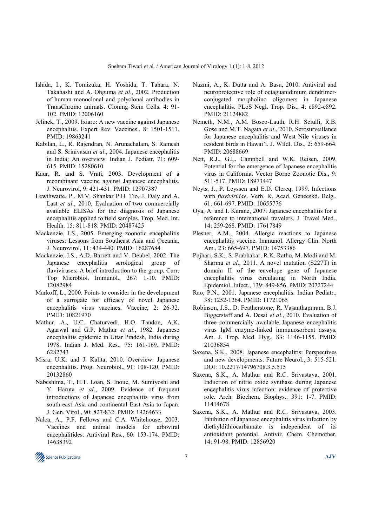- Ishida, I., K. Tomizuka, H. Yoshida, T. Tahara, N. Takahashi and A. Ohguma *et al*., 2002. Production of human monoclonal and polyclonal antibodies in TransChromo animals. Cloning Stem Cells. 4: 91- 102. PMID: 12006160
- Jelinek, T., 2009. Ixiaro: A new vaccine against Japanese encephalitis. Expert Rev. Vaccines., 8: 1501-1511. PMID: 19863241
- Kabilan, L., R. Rajendran, N. Arunachalam, S. Ramesh and S. Srinivasan *et al*., 2004. Japanese encephalitis in India: An overview. Indian J. Pediatr, 71: 609- 615. PMID: 15280610
- Kaur, R. and S. Vrati, 2003. Development of a recombinant vaccine against Japanese encephalitis. J. Neurovirol, 9: 421-431. PMID: 12907387
- Lewthwaite, P., M.V. Shankar P.H. Tio, J. Daly and A. Last *et al*., 2010. Evaluation of two commercially available ELISAs for the diagnosis of Japanese encephalitis applied to field samples. Trop. Med. Int. Health. 15: 811-818. PMID: 20487425
- Mackenzie, J.S., 2005. Emerging zoonotic encephalitis viruses: Lessons from Southeast Asia and Oceania. J. Neurovirol, 11: 434-440. PMID: 16287684
- Mackenzie, J.S., A.D. Barrett and V. Deubel, 2002. The Japanese encephalitis serological group of flaviviruses: A brief introduction to the group. Curr. Top Microbiol. Immunol., 267: 1-10. PMID: 12082984
- Markoff, L., 2000. Points to consider in the development of a surrogate for efficacy of novel Japanese encephalitis virus vaccines. Vaccine, 2: 26-32. PMID: 10821970
- Mathur, A., U.C. Chaturvedi, H.O. Tandon, A.K. Agarwal and G.P. Mathur *et al*., 1982. Japanese encephalitis epidemic in Uttar Pradesh, India during 1978. Indian J. Med. Res., 75: 161-169. PMID: 6282743
- Misra, U.K. and J. Kalita, 2010. Overview: Japanese encephalitis. Prog. Neurobiol., 91: 108-120. PMID: 20132860
- Nabeshima, T., H.T. Loan, S. Inoue, M. Sumiyoshi and Y. Haruta *et al*., 2009. Evidence of frequent introductions of Japanese encephalitis virus from south-east Asia and continental East Asia to Japan. J. Gen. Virol., 90: 827-832. PMID: 19264633
- Nalca, A., P.F. Fellows and C.A. Whitehouse, 2003. Vaccines and animal models for arboviral encephalitides. Antiviral Res., 60: 153-174. PMID: 14638392
- Nazmi, A., K. Dutta and A. Basu, 2010. Antiviral and neuroprotective role of octaguanidinium dendrimerconjugated morpholino oligomers in Japanese encephalitis. PLoS Negl. Trop. Dis., 4: e892-e892. PMID: 21124882
- Nemeth, N.M., A.M. Bosco-Lauth, R.H. Sciulli, R.B. Gose and M.T. Nagata *et al*., 2010. Serosurveillance for Japanese encephalitis and West Nile viruses in resident birds in Hawai'i. J. Wildl. Dis., 2: 659-664. PMID: 20688669
- Nett, R.J., G.L. Campbell and W.K. Reisen, 2009. Potential for the emergence of Japanese encephalitis virus in California. Vector Borne Zoonotic Dis., 9: 511-517. PMID: 18973447
- Neyts, J., P. Leyssen and E.D. Clercq, 1999. Infections with *flaviviridae*. Verh. K. Acad. Geneeskd. Belg., 61: 661-697. PMID: 10655776
- Oya, A. and I. Kurane, 2007. Japanese encephalitis for a reference to international travelers. J. Travel Med., 14: 259-268. PMID: 17617849
- Plesner, A.M., 2004. Allergic reactions to Japanese encephalitis vaccine. Immunol. Allergy Clin. North Am., 23: 665-697. PMID: 14753386
- Pujhari, S.K., S. Prabhakar, R.K. Ratho, M. Modi and M. Sharma *et al*., 2011. A novel mutation (S227T) in domain II of the envelope gene of Japanese encephalitis virus circulating in North India. Epidemiol. Infect., 139: 849-856. PMID: 20727244
- Rao, P.N., 2001. Japanese encephalitis. Indian Pediatr., 38: 1252-1264. PMID: 11721065
- Robinson, J.S., D. Featherstone, R. Vasanthapuram, B.J. Biggerstaff and A. Desai *et al*., 2010. Evaluation of three commercially available Japanese encephalitis virus IgM enzyme-linked immunosorbent assays. Am. J. Trop. Med. Hyg., 83: 1146-1155. PMID: 21036854
- Saxena, S.K., 2008. Japanese encephalitis: Perspectives and new developments. Future Neurol., 3: 515-521. DOI: 10.2217/14796708.3.5.515
- Saxena, S.K., A. Mathur and R.C. Srivastava, 2001. Induction of nitric oxide synthase during Japanese encephalitis virus infection: evidence of protective role. Arch. Biochem. Biophys., 391: 1-7. PMID: 11414678
- Saxena, S.K., A. Mathur and R.C. Srivastava, 2003. Inhibition of Japanese encephalitis virus infection by diethyldithiocarbamate is independent of its antioxidant potential. Antivir. Chem. Chemother, 14: 91-98. PMID: 12856920